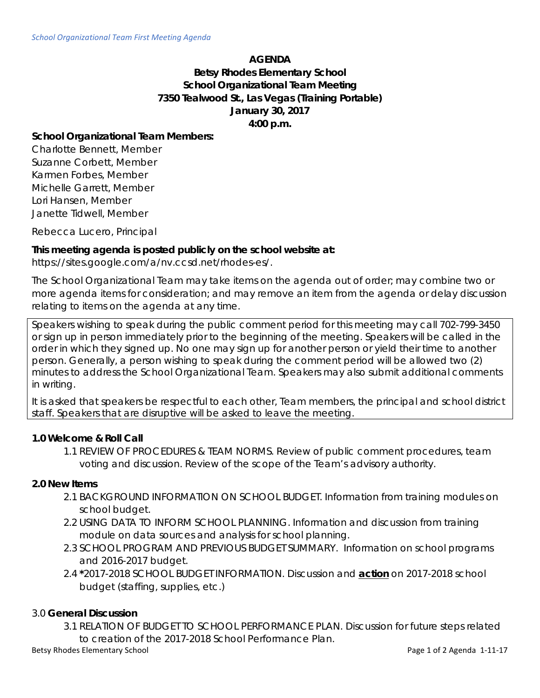#### **AGENDA**

# **Betsy Rhodes Elementary School School Organizational Team Meeting 7350 Tealwood St., Las Vegas (Training Portable) January 30, 2017 4:00 p.m.**

## **School Organizational Team Members:**

Charlotte Bennett, Member Suzanne Corbett, Member Karmen Forbes, Member Michelle Garrett, Member Lori Hansen, Member Janette Tidwell, Member

Rebecca Lucero, Principal

## **This meeting agenda is posted publicly on the school website at:**

https://sites.google.com/a/nv.ccsd.net/rhodes-es/.

The School Organizational Team may take items on the agenda out of order; may combine two or more agenda items for consideration; and may remove an item from the agenda or delay discussion relating to items on the agenda at any time.

Speakers wishing to speak during the public comment period for this meeting may call 702-799-3450 or sign up in person immediately prior to the beginning of the meeting. Speakers will be called in the order in which they signed up. No one may sign up for another person or yield their time to another person. Generally, a person wishing to speak during the comment period will be allowed two (2) minutes to address the School Organizational Team. Speakers may also submit additional comments in writing.

It is asked that speakers be respectful to each other, Team members, the principal and school district staff. Speakers that are disruptive will be asked to leave the meeting.

## **1.0 Welcome & Roll Call**

1.1 REVIEW OF PROCEDURES & TEAM NORMS. Review of public comment procedures, team voting and discussion. Review of the scope of the Team's advisory authority.

#### **2.0 New Items**

- 2.1 BACKGROUND INFORMATION ON SCHOOL BUDGET. Information from training modules on school budget.
- 2.2 USING DATA TO INFORM SCHOOL PLANNING. Information and discussion from training module on data sources and analysis for school planning.
- 2.3 SCHOOL PROGRAM AND PREVIOUS BUDGET SUMMARY. Information on school programs and 2016-2017 budget.
- 2.4 **\***2017-2018 SCHOOL BUDGET INFORMATION. Discussion and **action** on 2017-2018 school budget (staffing, supplies, etc.)

## 3.0 **General Discussion**

3.1 RELATION OF BUDGET TO SCHOOL PERFORMANCE PLAN. Discussion for future steps related to creation of the 2017-2018 School Performance Plan.

Betsy Rhodes Elementary School **Page 1 of 2 Agenda 1-11-17** Page 1 of 2 Agenda 1-11-17